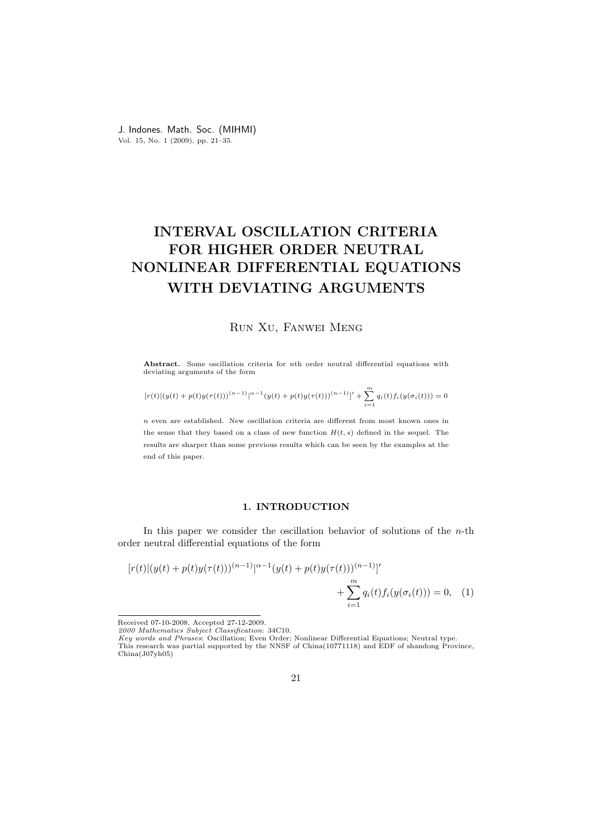J. Indones. Math. Soc. (MIHMI) Vol. 15, No. 1 (2009), pp. 21–35.

# INTERVAL OSCILLATION CRITERIA FOR HIGHER ORDER NEUTRAL NONLINEAR DIFFERENTIAL EQUATIONS WITH DEVIATING ARGUMENTS

## Run Xu, Fanwei Meng

Abstract. Some oscillation criteria for nth order neutral differential equations with deviating arguments of the form

$$
[r(t)|(y(t) + p(t)y(\tau(t)))^{(n-1)}\right|^{n-1}(y(t) + p(t)y(\tau(t)))^{(n-1)}] + \sum_{i=1}^{m} q_i(t)f_i(y(\sigma_i(t))) = 0
$$

n even are established. New oscillation criteria are different from most known ones in the sense that they based on a class of new function  $H(t, s)$  defined in the sequel. The results are sharper than some previous results which can be seen by the examples at the end of this paper.

## 1. INTRODUCTION

In this paper we consider the oscillation behavior of solutions of the  $n$ -th order neutral differential equations of the form

$$
[r(t)|(y(t) + p(t)y(\tau(t)))^{(n-1)}|^{\alpha-1}(y(t) + p(t)y(\tau(t)))^{(n-1)}]'
$$
  
+ 
$$
\sum_{i=1}^{m} q_i(t) f_i(y(\sigma_i(t))) = 0, \quad (1)
$$

Received 07-10-2008, Accepted 27-12-2009.

<sup>2000</sup> Mathematics Subject Classification: 34C10.

Key words and Phrases: Oscillation; Even Order; Nonlinear Differential Equations; Neutral type. This research was partial supported by the NNSF of China(10771118) and EDF of shandong Province,

China(J07yh05)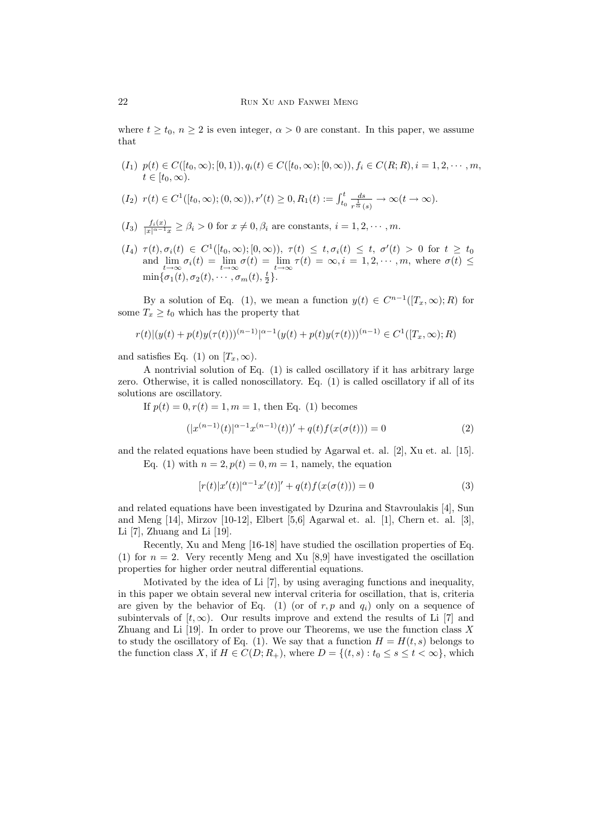where  $t \geq t_0$ ,  $n \geq 2$  is even integer,  $\alpha > 0$  are constant. In this paper, we assume that

 $(I_1)$   $p(t) \in C([t_0,\infty);[0,1)), q_i(t) \in C([t_0,\infty);[0,\infty)), f_i \in C(R;R), i = 1,2,\cdots,m,$  $t\in[t_0,\infty).$ 

$$
(I_2) r(t) \in C^1([t_0, \infty); (0, \infty)), r'(t) \ge 0, R_1(t) := \int_{t_0}^t \frac{ds}{r^{\frac{1}{\alpha}}(s)} \to \infty(t \to \infty).
$$

- $(I_3)$   $\frac{f_i(x)}{|x|^{\alpha-1}x} \geq \beta_i > 0$  for  $x \neq 0, \beta_i$  are constants,  $i = 1, 2, \cdots, m$ .
- $(I_4)$   $\tau(t), \sigma_i(t) \in C^1([t_0, \infty); [0, \infty)), \ \tau(t) \leq t, \sigma_i(t) \leq t, \ \sigma'(t) > 0 \ \text{for} \ t \geq t_0$ and  $\lim_{t\to\infty} \sigma_i(t) = \lim_{t\to\infty} \sigma(t) = \lim_{t\to\infty} \tau(t) = \infty, i = 1, 2, \cdots, m$ , where  $\sigma(t) \leq$  $\min{\lbrace \sigma_1(t), \sigma_2(t), \cdots, \sigma_m(t), \frac{t}{2} \rbrace}.$

By a solution of Eq. (1), we mean a function  $y(t) \in C^{n-1}([T_x,\infty);R)$  for some  $T_x \geq t_0$  which has the property that

$$
r(t)|(y(t) + p(t)y(\tau(t)))^{(n-1)}|^{\alpha-1}(y(t) + p(t)y(\tau(t)))^{(n-1)} \in C^{1}([T_x, \infty); R)
$$

and satisfies Eq. (1) on  $[T_x,\infty)$ .

A nontrivial solution of Eq. (1) is called oscillatory if it has arbitrary large zero. Otherwise, it is called nonoscillatory. Eq. (1) is called oscillatory if all of its solutions are oscillatory.

If  $p(t) = 0, r(t) = 1, m = 1$ , then Eq. (1) becomes

$$
(|x^{(n-1)}(t)|^{\alpha-1}x^{(n-1)}(t))' + q(t)f(x(\sigma(t))) = 0
$$
\n(2)

and the related equations have been studied by Agarwal et. al. [2], Xu et. al. [15]. Eq. (1) with  $n = 2, p(t) = 0, m = 1$ , namely, the equation

$$
[r(t)|x'(t)|^{\alpha-1}x'(t)]' + q(t)f(x(\sigma(t))) = 0
$$
\n(3)

and related equations have been investigated by Dzurina and Stavroulakis [4], Sun and Meng [14], Mirzov [10-12], Elbert [5,6] Agarwal et. al. [1], Chern et. al. [3], Li [7], Zhuang and Li [19].

Recently, Xu and Meng [16-18] have studied the oscillation properties of Eq. (1) for  $n = 2$ . Very recently Meng and Xu [8,9] have investigated the oscillation properties for higher order neutral differential equations.

Motivated by the idea of Li [7], by using averaging functions and inequality, in this paper we obtain several new interval criteria for oscillation, that is, criteria are given by the behavior of Eq. (1) (or of r, p and  $q_i$ ) only on a sequence of subintervals of  $[t, \infty)$ . Our results improve and extend the results of Li [7] and Zhuang and Li  $[19]$ . In order to prove our Theorems, we use the function class X to study the oscillatory of Eq. (1). We say that a function  $H = H(t, s)$  belongs to the function class X, if  $H \in C(D; R_+)$ , where  $D = \{(t, s) : t_0 \le s \le t < \infty\}$ , which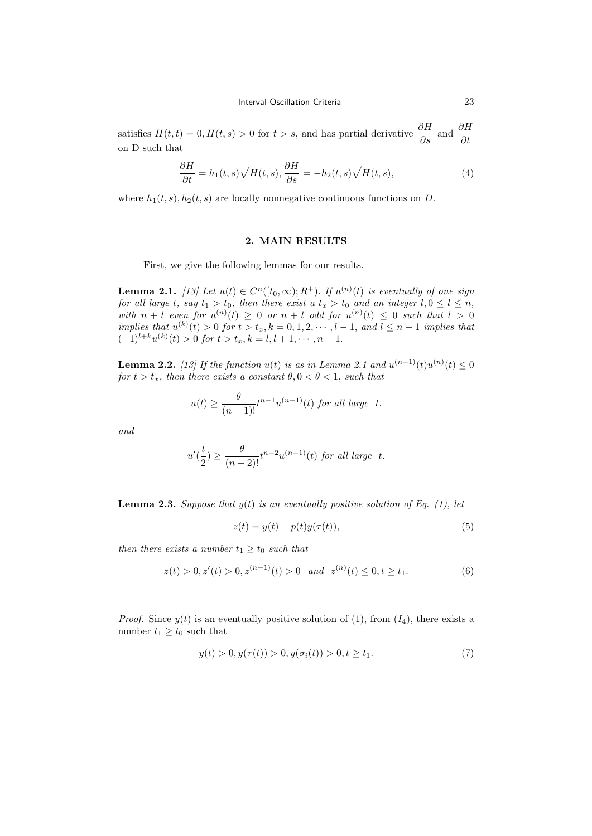satisfies  $H(t,t) = 0, H(t,s) > 0$  for  $t > s$ , and has partial derivative  $\frac{\partial H}{\partial s}$  and  $\frac{\partial H}{\partial t}$ on D such that

$$
\frac{\partial H}{\partial t} = h_1(t, s) \sqrt{H(t, s)}, \frac{\partial H}{\partial s} = -h_2(t, s) \sqrt{H(t, s)}, \tag{4}
$$

where  $h_1(t, s)$ ,  $h_2(t, s)$  are locally nonnegative continuous functions on D.

### 2. MAIN RESULTS

First, we give the following lemmas for our results.

**Lemma 2.1.** [13] Let  $u(t) \in C^n([t_0,\infty);R^+)$ . If  $u^{(n)}(t)$  is eventually of one sign for all large t, say  $t_1 > t_0$ , then there exist a  $t_x > t_0$  and an integer  $l, 0 \leq l \leq n$ , with  $n + l$  even for  $u^{(n)}(t) \geq 0$  or  $n + l$  odd for  $u^{(n)}(t) \leq 0$  such that  $l > 0$ implies that  $u^{(k)}(t) > 0$  for  $t > t_x, k = 0, 1, 2, \dots, l-1$ , and  $l \leq n-1$  implies that  $(-1)^{l+k}u^{(k)}(t) > 0$  for  $t > t_x, k = l, l + 1, \cdots, n - 1$ .

**Lemma 2.2.** [13] If the function  $u(t)$  is as in Lemma 2.1 and  $u^{(n-1)}(t)u^{(n)}(t) \leq 0$ for  $t > t_x$ , then there exists a constant  $\theta, 0 < \theta < 1$ , such that

$$
u(t) \ge \frac{\theta}{(n-1)!} t^{n-1} u^{(n-1)}(t) \text{ for all large } t.
$$

and

$$
u'\left(\frac{t}{2}\right) \ge \frac{\theta}{(n-2)!}t^{n-2}u^{(n-1)}(t) \text{ for all large } t.
$$

**Lemma 2.3.** Suppose that  $y(t)$  is an eventually positive solution of Eq. (1), let

$$
z(t) = y(t) + p(t)y(\tau(t)),
$$
\n(5)

then there exists a number  $t_1 > t_0$  such that

$$
z(t) > 0, z'(t) > 0, z^{(n-1)}(t) > 0 \quad and \quad z^{(n)}(t) \le 0, t \ge t_1.
$$
 (6)

*Proof.* Since  $y(t)$  is an eventually positive solution of (1), from  $(I_4)$ , there exists a number  $t_1 \geq t_0$  such that

$$
y(t) > 0, y(\tau(t)) > 0, y(\sigma_i(t)) > 0, t \ge t_1.
$$
\n<sup>(7)</sup>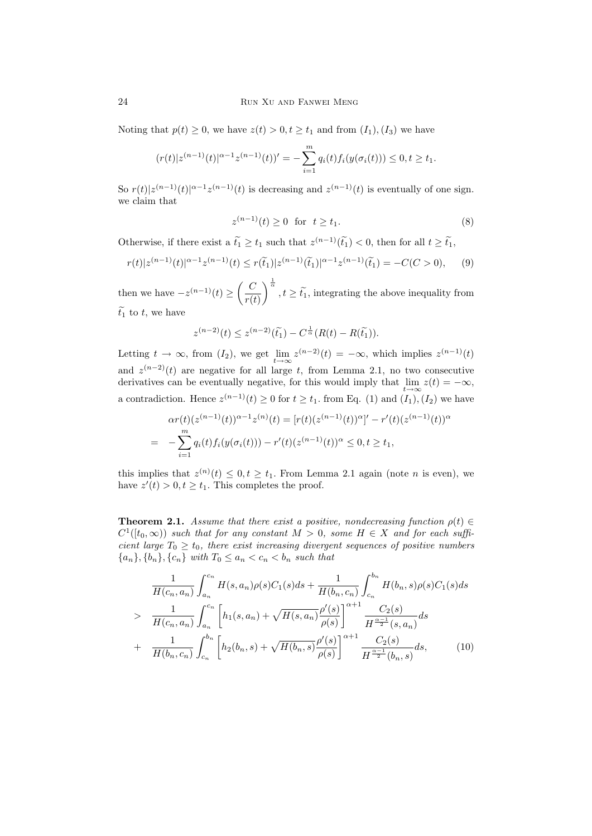Noting that  $p(t) \geq 0$ , we have  $z(t) > 0, t \geq t_1$  and from  $(I_1), (I_3)$  we have

$$
(r(t)|z^{(n-1)}(t)|^{\alpha-1}z^{(n-1)}(t))' = -\sum_{i=1}^{m} q_i(t)f_i(y(\sigma_i(t))) \le 0, t \ge t_1.
$$

So  $r(t)|z^{(n-1)}(t)|^{\alpha-1}z^{(n-1)}(t)$  is decreasing and  $z^{(n-1)}(t)$  is eventually of one sign. we claim that

$$
z^{(n-1)}(t) \ge 0 \text{ for } t \ge t_1.
$$
 (8)

Otherwise, if there exist a  $\tilde{t}_1 \ge t_1$  such that  $z^{(n-1)}(\tilde{t}_1) < 0$ , then for all  $t \ge \tilde{t}_1$ ,

$$
r(t)|z^{(n-1)}(t)|^{\alpha-1}z^{(n-1)}(t) \le r(\tilde{t}_1)|z^{(n-1)}(\tilde{t}_1)|^{\alpha-1}z^{(n-1)}(\tilde{t}_1) = -C(C > 0), \qquad (9)
$$

then we have  $-z^{(n-1)}(t) \geq \left(\frac{C}{\sqrt{t}}\right)$  $r(t)$  $\left(\right)^{\frac{1}{\alpha}}, t \geq \tilde{t_1}$ , integrating the above inequality from  $\widetilde{t_1}$  to t, we have

$$
z^{(n-2)}(t) \le z^{(n-2)}(\tilde{t_1}) - C^{\frac{1}{\alpha}}(R(t) - R(\tilde{t_1})).
$$

Letting  $t \to \infty$ , from  $(I_2)$ , we get  $\lim_{t \to \infty} z^{(n-2)}(t) = -\infty$ , which implies  $z^{(n-1)}(t)$ and  $z^{(n-2)}(t)$  are negative for all large t, from Lemma 2.1, no two consecutive derivatives can be eventually negative, for this would imply that  $\lim_{t\to\infty} z(t) = -\infty$ , a contradiction. Hence  $z^{(n-1)}(t) \ge 0$  for  $t \ge t_1$ , from Eq. (1) and  $(I_1), (I_2)$  we have

$$
\alpha r(t)(z^{(n-1)}(t))^{\alpha-1}z^{(n)}(t) = [r(t)(z^{(n-1)}(t))^{\alpha}]' - r'(t)(z^{(n-1)}(t))^{\alpha}
$$
  
= 
$$
-\sum_{i=1}^{m} q_i(t)f_i(y(\sigma_i(t))) - r'(t)(z^{(n-1)}(t))^{\alpha} \leq 0, t \geq t_1,
$$

this implies that  $z^{(n)}(t) \leq 0, t \geq t_1$ . From Lemma 2.1 again (note *n* is even), we have  $z'(t) > 0, t \ge t_1$ . This completes the proof.

**Theorem 2.1.** Assume that there exist a positive, nondecreasing function  $\rho(t) \in$  $C^1([t_0,\infty))$  such that for any constant  $M > 0$ , some  $H \in X$  and for each sufficient large  $T_0 \geq t_0$ , there exist increasing divergent sequences of positive numbers  ${a_n}, {b_n}, {c_n}$  with  $T_0 \le a_n < c_n < b_n$  such that

$$
\frac{1}{H(c_n, a_n)} \int_{a_n}^{c_n} H(s, a_n) \rho(s) C_1(s) ds + \frac{1}{H(b_n, c_n)} \int_{c_n}^{b_n} H(b_n, s) \rho(s) C_1(s) ds
$$
\n
$$
> \frac{1}{H(c_n, a_n)} \int_{a_n}^{c_n} \left[ h_1(s, a_n) + \sqrt{H(s, a_n)} \frac{\rho'(s)}{\rho(s)} \right]^{\alpha+1} \frac{C_2(s)}{H^{\frac{\alpha-1}{2}}(s, a_n)} ds
$$
\n
$$
+ \frac{1}{H(b_n, c_n)} \int_{c_n}^{b_n} \left[ h_2(b_n, s) + \sqrt{H(b_n, s)} \frac{\rho'(s)}{\rho(s)} \right]^{\alpha+1} \frac{C_2(s)}{H^{\frac{\alpha-1}{2}}(b_n, s)} ds, \tag{10}
$$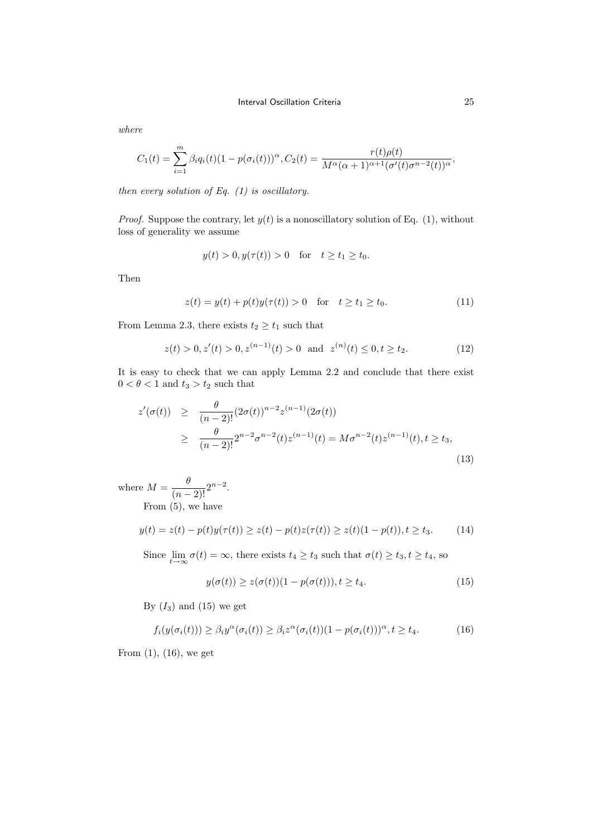$$
C_1(t) = \sum_{i=1}^m \beta_i q_i(t) (1 - p(\sigma_i(t)))^{\alpha}, C_2(t) = \frac{r(t)\rho(t)}{M^{\alpha}(\alpha + 1)^{\alpha+1}(\sigma'(t)\sigma^{n-2}(t))^{\alpha}},
$$

then every solution of Eq.  $(1)$  is oscillatory.

*Proof.* Suppose the contrary, let  $y(t)$  is a nonoscillatory solution of Eq. (1), without loss of generality we assume

$$
y(t) > 0, y(\tau(t)) > 0
$$
 for  $t \ge t_1 \ge t_0$ .

Then

$$
z(t) = y(t) + p(t)y(\tau(t)) > 0 \quad \text{for} \quad t \ge t_1 \ge t_0. \tag{11}
$$

From Lemma 2.3, there exists  $t_2 \geq t_1$  such that

$$
z(t) > 0, z'(t) > 0, z^{(n-1)}(t) > 0 \text{ and } z^{(n)}(t) \le 0, t \ge t_2.
$$
 (12)

It is easy to check that we can apply Lemma 2.2 and conclude that there exist  $0<\theta<1$  and  $t_3>t_2$  such that

$$
z'(\sigma(t)) \geq \frac{\theta}{(n-2)!} (2\sigma(t))^{n-2} z^{(n-1)} (2\sigma(t))
$$
  
 
$$
\geq \frac{\theta}{(n-2)!} 2^{n-2} \sigma^{n-2}(t) z^{(n-1)}(t) = M \sigma^{n-2}(t) z^{(n-1)}(t), t \geq t_3,
$$
 (13)

where  $M = \frac{\theta}{(n-2)!} 2^{n-2}$ . From (5), we have

$$
y(t) = z(t) - p(t)y(\tau(t)) \ge z(t) - p(t)z(\tau(t)) \ge z(t)(1 - p(t)), t \ge t_3.
$$
 (14)

Since  $\lim_{t\to\infty} \sigma(t) = \infty$ , there exists  $t_4 \ge t_3$  such that  $\sigma(t) \ge t_3, t \ge t_4$ , so

$$
y(\sigma(t)) \ge z(\sigma(t))(1 - p(\sigma(t))), t \ge t_4.
$$
\n
$$
(15)
$$

By  $(I_3)$  and  $(15)$  we get

$$
f_i(y(\sigma_i(t))) \ge \beta_i y^{\alpha}(\sigma_i(t)) \ge \beta_i z^{\alpha}(\sigma_i(t))(1 - p(\sigma_i(t)))^{\alpha}, t \ge t_4.
$$
 (16)

From  $(1)$ ,  $(16)$ , we get

where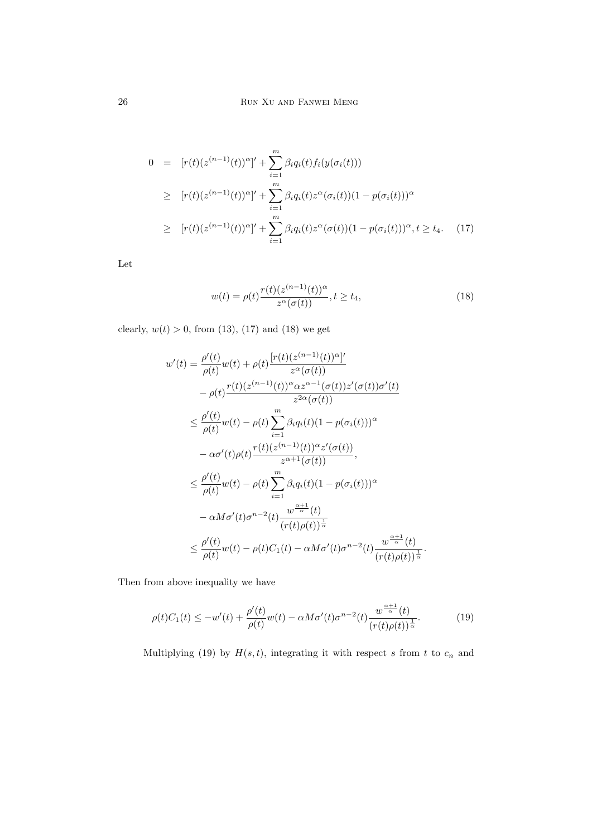$$
0 = [r(t)(z^{(n-1)}(t))^{\alpha}]' + \sum_{i=1}^{m} \beta_i q_i(t) f_i(y(\sigma_i(t)))
$$
  
\n
$$
\geq [r(t)(z^{(n-1)}(t))^{\alpha}]' + \sum_{i=1}^{m} \beta_i q_i(t) z^{\alpha} (\sigma_i(t)) (1 - p(\sigma_i(t)))^{\alpha}
$$
  
\n
$$
\geq [r(t)(z^{(n-1)}(t))^{\alpha}]' + \sum_{i=1}^{m} \beta_i q_i(t) z^{\alpha} (\sigma(t)) (1 - p(\sigma_i(t)))^{\alpha}, t \geq t_4.
$$
 (17)

Let

$$
w(t) = \rho(t) \frac{r(t)(z^{(n-1)}(t))^{\alpha}}{z^{\alpha}(\sigma(t))}, t \ge t_4,
$$
\n(18)

clearly,  $w(t) > 0$ , from (13), (17) and (18) we get

$$
w'(t) = \frac{\rho'(t)}{\rho(t)} w(t) + \rho(t) \frac{[r(t)(z^{(n-1)}(t))^{\alpha}]}{z^{\alpha}(\sigma(t))}
$$
  

$$
- \rho(t) \frac{r(t)(z^{(n-1)}(t))^{\alpha} \alpha z^{\alpha-1}(\sigma(t))z'(\sigma(t))\sigma'(t)}{z^{2\alpha}(\sigma(t))}
$$
  

$$
\leq \frac{\rho'(t)}{\rho(t)} w(t) - \rho(t) \sum_{i=1}^{m} \beta_i q_i(t) (1 - p(\sigma_i(t)))^{\alpha}
$$
  

$$
- \alpha \sigma'(t)\rho(t) \frac{r(t)(z^{(n-1)}(t))^{\alpha} z'(\sigma(t))}{z^{\alpha+1}(\sigma(t))},
$$
  

$$
\leq \frac{\rho'(t)}{\rho(t)} w(t) - \rho(t) \sum_{i=1}^{m} \beta_i q_i(t) (1 - p(\sigma_i(t)))^{\alpha}
$$
  

$$
- \alpha M \sigma'(t) \sigma^{n-2}(t) \frac{w^{\frac{\alpha+1}{\alpha}}(t)}{(r(t)\rho(t))^{\frac{1}{\alpha}}}
$$
  

$$
\leq \frac{\rho'(t)}{\rho(t)} w(t) - \rho(t) C_1(t) - \alpha M \sigma'(t) \sigma^{n-2}(t) \frac{w^{\frac{\alpha+1}{\alpha}}(t)}{(r(t)\rho(t))^{\frac{1}{\alpha}}}
$$

Then from above inequality we have

$$
\rho(t)C_1(t) \le -w'(t) + \frac{\rho'(t)}{\rho(t)}w(t) - \alpha M \sigma'(t) \sigma^{n-2}(t) \frac{w^{\frac{\alpha+1}{\alpha}}(t)}{(r(t)\rho(t))^{\frac{1}{\alpha}}}.
$$
(19)

Multiplying (19) by  $H(s,t)$ , integrating it with respect s from t to  $c_n$  and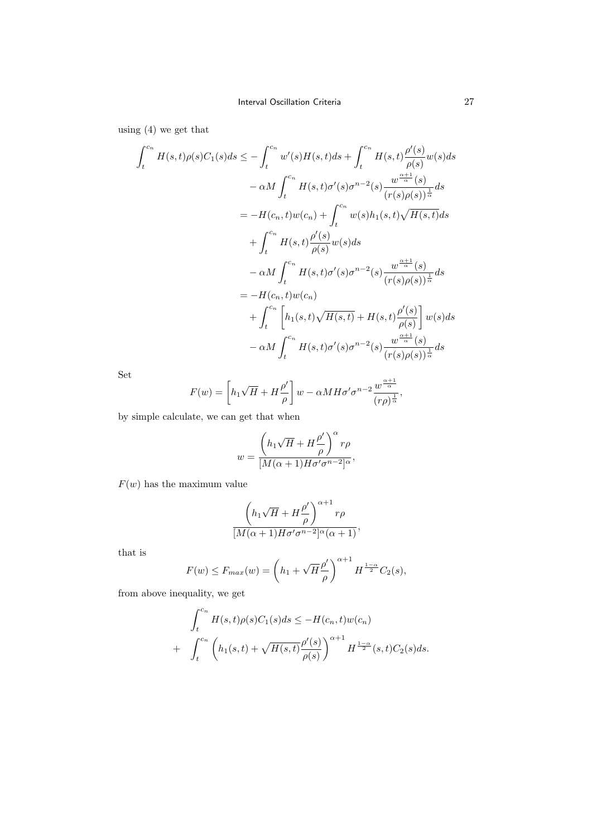using (4) we get that

$$
\int_{t}^{c_{n}} H(s,t)\rho(s)C_{1}(s)ds \leq -\int_{t}^{c_{n}} w'(s)H(s,t)ds + \int_{t}^{c_{n}} H(s,t)\frac{\rho'(s)}{\rho(s)}w(s)ds
$$
  

$$
- \alpha M \int_{t}^{c_{n}} H(s,t)\sigma'(s)\sigma^{n-2}(s)\frac{w^{\frac{\alpha+1}{\alpha}}(s)}{(r(s)\rho(s))^{\frac{1}{\alpha}}}ds
$$
  

$$
= -H(c_{n},t)w(c_{n}) + \int_{t}^{c_{n}} w(s)h_{1}(s,t)\sqrt{H(s,t)}ds
$$
  

$$
+ \int_{t}^{c_{n}} H(s,t)\frac{\rho'(s)}{\rho(s)}w(s)ds
$$
  

$$
- \alpha M \int_{t}^{c_{n}} H(s,t)\sigma'(s)\sigma^{n-2}(s)\frac{w^{\frac{\alpha+1}{\alpha}}(s)}{(r(s)\rho(s))^{\frac{1}{\alpha}}}ds
$$
  

$$
= -H(c_{n},t)w(c_{n})
$$
  

$$
+ \int_{t}^{c_{n}} \left[h_{1}(s,t)\sqrt{H(s,t)} + H(s,t)\frac{\rho'(s)}{\rho(s)}\right]w(s)ds
$$
  

$$
- \alpha M \int_{t}^{c_{n}} H(s,t)\sigma'(s)\sigma^{n-2}(s)\frac{w^{\frac{\alpha+1}{\alpha}}(s)}{(r(s)\rho(s))^{\frac{1}{\alpha}}}ds
$$

Set

$$
F(w) = \left[ h_1 \sqrt{H} + H \frac{\rho'}{\rho} \right] w - \alpha M H \sigma' \sigma^{n-2} \frac{w^{\frac{\alpha+1}{\alpha}}}{(r\rho)^{\frac{1}{\alpha}}},
$$

by simple calculate, we can get that when

$$
w = \frac{\left(h_1\sqrt{H} + H\frac{\rho'}{\rho}\right)^{\alpha}r\rho}{[M(\alpha+1)H\sigma'\sigma^{n-2}]^{\alpha}},
$$

 $F(w)$  has the maximum value

$$
\frac{\left(h_1\sqrt{H} + H\frac{\rho'}{\rho}\right)^{\alpha+1}r\rho}{[M(\alpha+1)H\sigma'\sigma^{n-2}]\alpha(\alpha+1)},
$$

that is

$$
F(w) \le F_{max}(w) = \left(h_1 + \sqrt{H} \frac{\rho'}{\rho}\right)^{\alpha+1} H^{\frac{1-\alpha}{2}} C_2(s),
$$

from above inequality, we get

$$
\int_{t}^{c_{n}} H(s,t)\rho(s)C_{1}(s)ds \leq -H(c_{n},t)w(c_{n}) + \int_{t}^{c_{n}} \left( h_{1}(s,t) + \sqrt{H(s,t)}\frac{\rho'(s)}{\rho(s)} \right)^{\alpha+1} H^{\frac{1-\alpha}{2}}(s,t)C_{2}(s)ds.
$$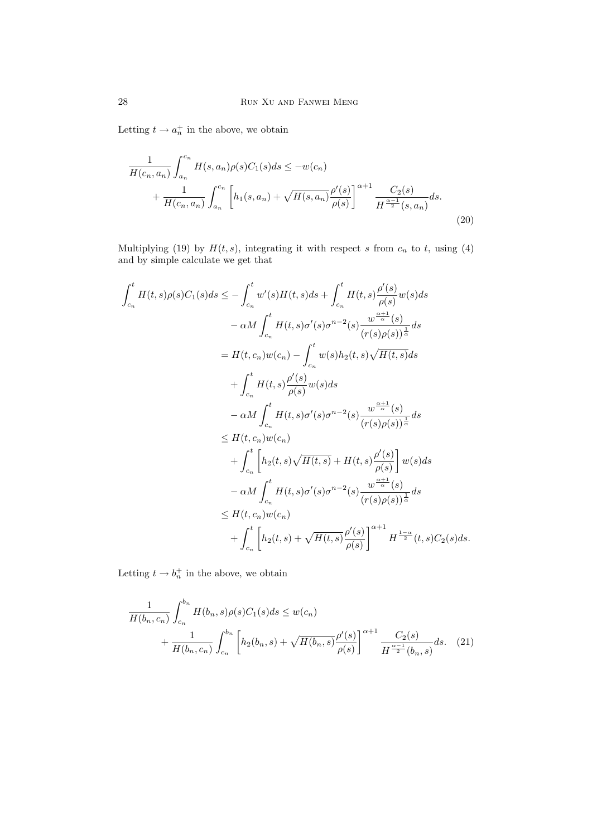Letting  $t \to a_n^+$  in the above, we obtain

$$
\frac{1}{H(c_n, a_n)} \int_{a_n}^{c_n} H(s, a_n) \rho(s) C_1(s) ds \le -w(c_n) \n+ \frac{1}{H(c_n, a_n)} \int_{a_n}^{c_n} \left[ h_1(s, a_n) + \sqrt{H(s, a_n)} \frac{\rho'(s)}{\rho(s)} \right]^{\alpha+1} \frac{C_2(s)}{H^{\frac{\alpha-1}{2}}(s, a_n)} ds.
$$
\n(20)

Multiplying (19) by  $H(t, s)$ , integrating it with respect s from  $c_n$  to t, using (4) and by simple calculate we get that

$$
\begin{split} \int_{c_n}^t H(t,s)\rho(s)C_1(s)ds &\leq -\int_{c_n}^t w'(s)H(t,s)ds + \int_{c_n}^t H(t,s)\frac{\rho'(s)}{\rho(s)}w(s)ds \\ & -\alpha M\int_{c_n}^t H(t,s)\sigma'(s)\sigma^{n-2}(s)\frac{w^{\frac{\alpha+1}{\alpha}}(s)}{(r(s)\rho(s))^{\frac{1}{\alpha}}}ds \\ &= H(t,c_n)w(c_n) - \int_{c_n}^t w(s)h_2(t,s)\sqrt{H(t,s)}ds \\ & + \int_{c_n}^t H(t,s)\frac{\rho'(s)}{\rho(s)}w(s)ds \\ & -\alpha M\int_{c_n}^t H(t,s)\sigma'(s)\sigma^{n-2}(s)\frac{w^{\frac{\alpha+1}{\alpha}}(s)}{(r(s)\rho(s))^{\frac{1}{\alpha}}}ds \\ & \leq H(t,c_n)w(c_n) \\ & + \int_{c_n}^t \left[h_2(t,s)\sqrt{H(t,s)} + H(t,s)\frac{\rho'(s)}{\rho(s)}\right]w(s)ds \\ & -\alpha M\int_{c_n}^t H(t,s)\sigma'(s)\sigma^{n-2}(s)\frac{w^{\frac{\alpha+1}{\alpha}}(s)}{(r(s)\rho(s))^{\frac{1}{\alpha}}}ds \\ & \leq H(t,c_n)w(c_n) \\ & + \int_{c_n}^t \left[h_2(t,s) + \sqrt{H(t,s)}\frac{\rho'(s)}{\rho(s)}\right]^{\alpha+1}H^{\frac{1-\alpha}{2}}(t,s)C_2(s)ds. \end{split}
$$

Letting  $t \to b_n^+$  in the above, we obtain

$$
\frac{1}{H(b_n, c_n)} \int_{c_n}^{b_n} H(b_n, s) \rho(s) C_1(s) ds \le w(c_n) + \frac{1}{H(b_n, c_n)} \int_{c_n}^{b_n} \left[ h_2(b_n, s) + \sqrt{H(b_n, s)} \frac{\rho'(s)}{\rho(s)} \right]^{\alpha+1} \frac{C_2(s)}{H^{\frac{\alpha-1}{2}}(b_n, s)} ds. \quad (21)
$$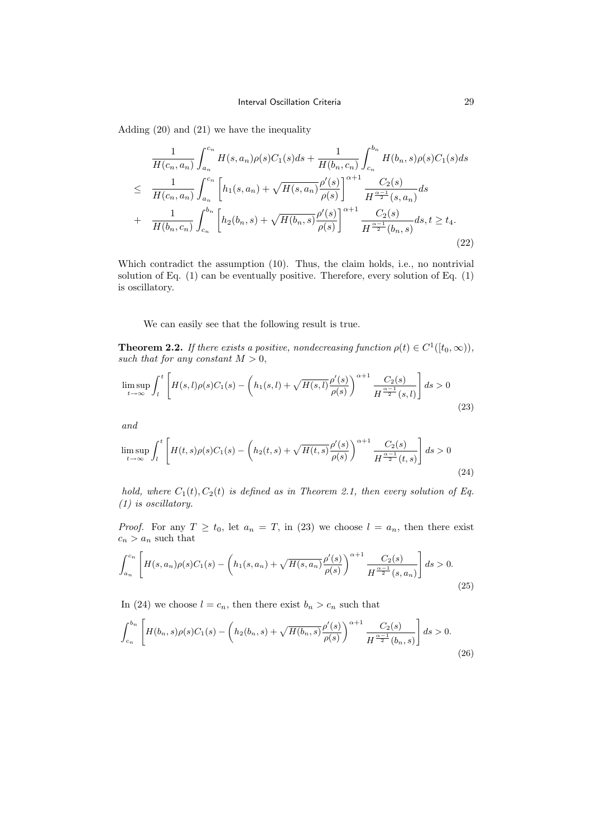Adding (20) and (21) we have the inequality

$$
\frac{1}{H(c_n, a_n)} \int_{a_n}^{c_n} H(s, a_n) \rho(s) C_1(s) ds + \frac{1}{H(b_n, c_n)} \int_{c_n}^{b_n} H(b_n, s) \rho(s) C_1(s) ds \n\leq \frac{1}{H(c_n, a_n)} \int_{a_n}^{c_n} \left[ h_1(s, a_n) + \sqrt{H(s, a_n)} \frac{\rho'(s)}{\rho(s)} \right]^{\alpha+1} \frac{C_2(s)}{H^{\frac{\alpha-1}{2}}(s, a_n)} ds \n+ \frac{1}{H(b_n, c_n)} \int_{c_n}^{b_n} \left[ h_2(b_n, s) + \sqrt{H(b_n, s)} \frac{\rho'(s)}{\rho(s)} \right]^{\alpha+1} \frac{C_2(s)}{H^{\frac{\alpha-1}{2}}(b_n, s)} ds, t \geq t_4.
$$
\n(22)

Which contradict the assumption (10). Thus, the claim holds, i.e., no nontrivial solution of Eq. (1) can be eventually positive. Therefore, every solution of Eq. (1) is oscillatory.

We can easily see that the following result is true.

**Theorem 2.2.** If there exists a positive, nondecreasing function  $\rho(t) \in C^1([t_0,\infty))$ , such that for any constant  $M > 0$ ,

$$
\limsup_{t \to \infty} \int_{l}^{t} \left[ H(s,l)\rho(s)C_1(s) - \left( h_1(s,l) + \sqrt{H(s,l)} \frac{\rho'(s)}{\rho(s)} \right)^{\alpha+1} \frac{C_2(s)}{H^{\frac{\alpha-1}{2}}(s,l)} \right] ds > 0
$$
\n(23)

and

$$
\limsup_{t \to \infty} \int_{l}^{t} \left[ H(t,s)\rho(s)C_1(s) - \left( h_2(t,s) + \sqrt{H(t,s)} \frac{\rho'(s)}{\rho(s)} \right)^{\alpha+1} \frac{C_2(s)}{H^{\frac{\alpha-1}{2}}(t,s)} \right] ds > 0
$$
\n(24)

hold, where  $C_1(t)$ ,  $C_2(t)$  is defined as in Theorem 2.1, then every solution of Eq. (1) is oscillatory.

*Proof.* For any  $T \ge t_0$ , let  $a_n = T$ , in (23) we choose  $l = a_n$ , then there exist  $c_n > a_n$  such that

$$
\int_{a_n}^{c_n} \left[ H(s, a_n) \rho(s) C_1(s) - \left( h_1(s, a_n) + \sqrt{H(s, a_n)} \frac{\rho'(s)}{\rho(s)} \right)^{\alpha+1} \frac{C_2(s)}{H^{\frac{\alpha-1}{2}}(s, a_n)} \right] ds > 0.
$$
\n(25)

In (24) we choose  $l = c_n$ , then there exist  $b_n > c_n$  such that

$$
\int_{c_n}^{b_n} \left[ H(b_n, s) \rho(s) C_1(s) - \left( h_2(b_n, s) + \sqrt{H(b_n, s)} \frac{\rho'(s)}{\rho(s)} \right)^{\alpha+1} \frac{C_2(s)}{H^{\frac{\alpha-1}{2}}(b_n, s)} \right] ds > 0.
$$
\n(26)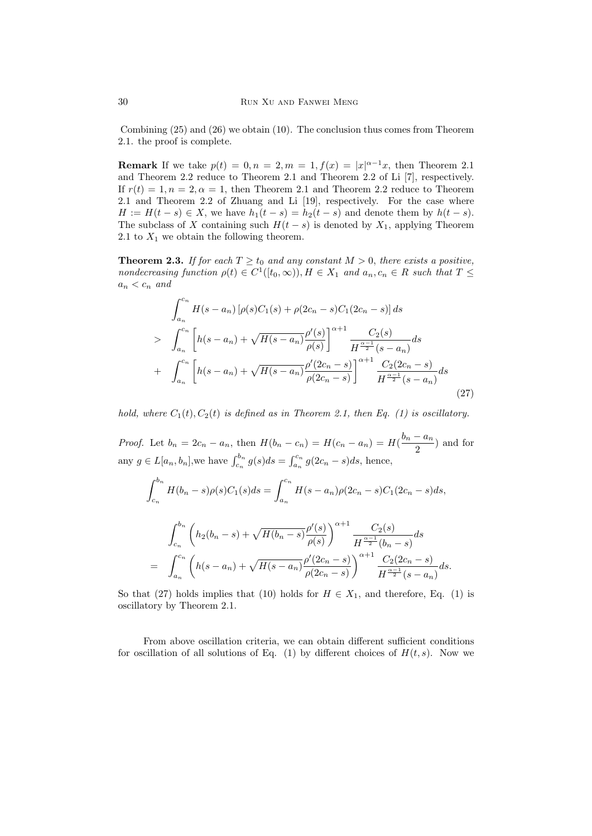Combining (25) and (26) we obtain (10). The conclusion thus comes from Theorem 2.1. the proof is complete.

**Remark** If we take  $p(t) = 0, n = 2, m = 1, f(x) = |x|^{\alpha-1}x$ , then Theorem 2.1 and Theorem 2.2 reduce to Theorem 2.1 and Theorem 2.2 of Li [7], respectively. If  $r(t) = 1, n = 2, \alpha = 1$ , then Theorem 2.1 and Theorem 2.2 reduce to Theorem 2.1 and Theorem 2.2 of Zhuang and Li [19], respectively. For the case where  $H := H(t - s) \in X$ , we have  $h_1(t - s) = h_2(t - s)$  and denote them by  $h(t - s)$ . The subclass of X containing such  $H(t - s)$  is denoted by  $X_1$ , applying Theorem 2.1 to  $X_1$  we obtain the following theorem.

**Theorem 2.3.** If for each  $T \ge t_0$  and any constant  $M > 0$ , there exists a positive, nondecreasing function  $\rho(t) \in C^1([t_0,\infty)), H \in X_1$  and  $a_n, c_n \in R$  such that  $T \leq$  $a_n < c_n$  and

$$
\int_{a_n}^{c_n} H(s - a_n) \left[ \rho(s) C_1(s) + \rho(2c_n - s) C_1(2c_n - s) \right] ds
$$
\n
$$
> \int_{a_n}^{c_n} \left[ h(s - a_n) + \sqrt{H(s - a_n)} \frac{\rho'(s)}{\rho(s)} \right]^{a+1} \frac{C_2(s)}{H^{\frac{\alpha - 1}{2}}(s - a_n)} ds
$$
\n
$$
+ \int_{a_n}^{c_n} \left[ h(s - a_n) + \sqrt{H(s - a_n)} \frac{\rho'(2c_n - s)}{\rho(2c_n - s)} \right]^{a+1} \frac{C_2(2c_n - s)}{H^{\frac{\alpha - 1}{2}}(s - a_n)} ds
$$
\n
$$
(27)
$$

hold, where  $C_1(t)$ ,  $C_2(t)$  is defined as in Theorem 2.1, then Eq. (1) is oscillatory.

*Proof.* Let  $b_n = 2c_n - a_n$ , then  $H(b_n - c_n) = H(c_n - a_n) = H(\frac{b_n - a_n}{2})$  $\frac{a_n}{2}$  and for any  $g \in L[a_n, b_n]$ , we have  $\int_{c_n}^{b_n} g(s)ds = \int_{a_n}^{c_n} g(2c_n - s)ds$ , hence,

$$
\int_{c_n}^{b_n} H(b_n - s)\rho(s)C_1(s)ds = \int_{a_n}^{c_n} H(s - a_n)\rho(2c_n - s)C_1(2c_n - s)ds,
$$
  

$$
\int_{c_n}^{b_n} \left( h_2(b_n - s) + \sqrt{H(b_n - s)}\frac{\rho'(s)}{\rho(s)} \right)^{\alpha+1} \frac{C_2(s)}{H^{\frac{\alpha-1}{2}}(b_n - s)}ds
$$
  

$$
= \int_{a_n}^{c_n} \left( h(s - a_n) + \sqrt{H(s - a_n)}\frac{\rho'(2c_n - s)}{\rho(2c_n - s)} \right)^{\alpha+1} \frac{C_2(2c_n - s)}{H^{\frac{\alpha-1}{2}}(s - a_n)}ds.
$$

So that (27) holds implies that (10) holds for  $H \in X_1$ , and therefore, Eq. (1) is oscillatory by Theorem 2.1.

From above oscillation criteria, we can obtain different sufficient conditions for oscillation of all solutions of Eq. (1) by different choices of  $H(t, s)$ . Now we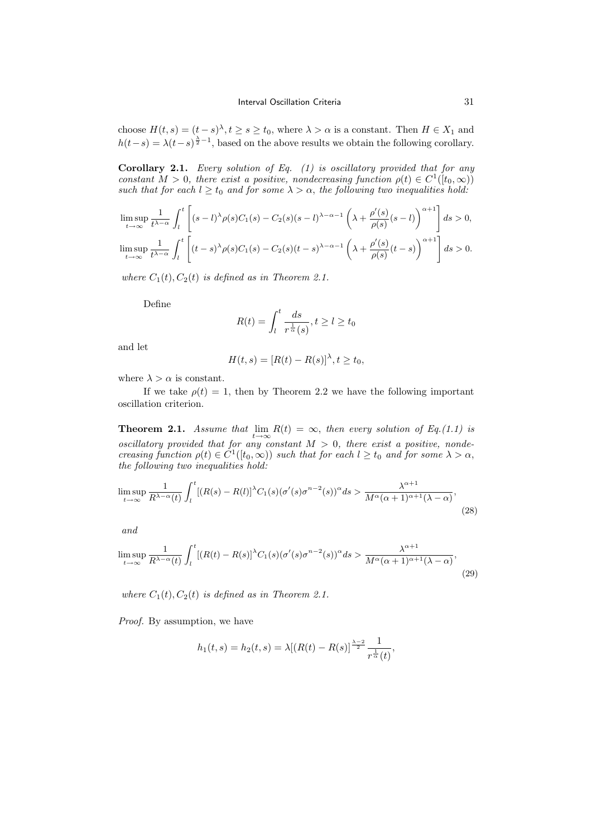choose  $H(t, s) = (t - s)^{\lambda}, t \ge s \ge t_0$ , where  $\lambda > \alpha$  is a constant. Then  $H \in X_1$  and  $h(t-s) = \lambda(t-s)^{\frac{\lambda}{2}-1}$ , based on the above results we obtain the following corollary.

**Corollary 2.1.** Every solution of Eq.  $(1)$  is oscillatory provided that for any constant  $M > 0$ , there exist a positive, nondecreasing function  $\rho(t) \in C^1([t_0,\infty))$ such that for each  $l \geq t_0$  and for some  $\lambda > \alpha$ , the following two inequalities hold:

$$
\limsup_{t \to \infty} \frac{1}{t^{\lambda - \alpha}} \int_{l}^{t} \left[ (s - l)^{\lambda} \rho(s) C_1(s) - C_2(s) (s - l)^{\lambda - \alpha - 1} \left( \lambda + \frac{\rho'(s)}{\rho(s)} (s - l) \right)^{\alpha + 1} \right] ds > 0,
$$
  

$$
\limsup_{t \to \infty} \frac{1}{t^{\lambda - \alpha}} \int_{l}^{t} \left[ (t - s)^{\lambda} \rho(s) C_1(s) - C_2(s) (t - s)^{\lambda - \alpha - 1} \left( \lambda + \frac{\rho'(s)}{\rho(s)} (t - s) \right)^{\alpha + 1} \right] ds > 0.
$$

where  $C_1(t)$ ,  $C_2(t)$  is defined as in Theorem 2.1.

Define

$$
R(t) = \int_{l}^{t} \frac{ds}{r^{\frac{1}{\alpha}}(s)}, t \ge l \ge t_0
$$

and let

$$
H(t,s) = [R(t) - R(s)]^{\lambda}, t \ge t_0,
$$

where  $\lambda > \alpha$  is constant.

If we take  $\rho(t) = 1$ , then by Theorem 2.2 we have the following important oscillation criterion.

**Theorem 2.1.** Assume that  $\lim_{t\to\infty} R(t) = \infty$ , then every solution of Eq.(1.1) is oscillatory provided that for any constant  $M > 0$ , there exist a positive, nondecreasing function  $\rho(t) \in C^1([t_0,\infty))$  such that for each  $l \ge t_0$  and for some  $\lambda > \alpha$ , the following two inequalities hold:

$$
\limsup_{t \to \infty} \frac{1}{R^{\lambda - \alpha}(t)} \int_{l}^{t} \left[ (R(s) - R(l))^{\lambda} C_1(s) (\sigma'(s) \sigma^{n-2}(s))^{\alpha} ds \rangle \frac{\lambda^{\alpha+1}}{M^{\alpha}(\alpha+1)^{\alpha+1}(\lambda - \alpha)},
$$
\n(28)

and

$$
\limsup_{t \to \infty} \frac{1}{R^{\lambda - \alpha}(t)} \int_{l}^{t} \left[ (R(t) - R(s))^{\lambda} C_1(s) (\sigma'(s) \sigma^{n-2}(s))^{\alpha} ds \right] \frac{\lambda^{\alpha+1}}{M^{\alpha}(\alpha+1)^{\alpha+1}(\lambda - \alpha)},
$$
\n(29)

where  $C_1(t)$ ,  $C_2(t)$  is defined as in Theorem 2.1.

Proof. By assumption, we have

$$
h_1(t,s) = h_2(t,s) = \lambda [(R(t) - R(s)]^{\frac{\lambda - 2}{2}} \frac{1}{r^{\frac{1}{\alpha}}(t)},
$$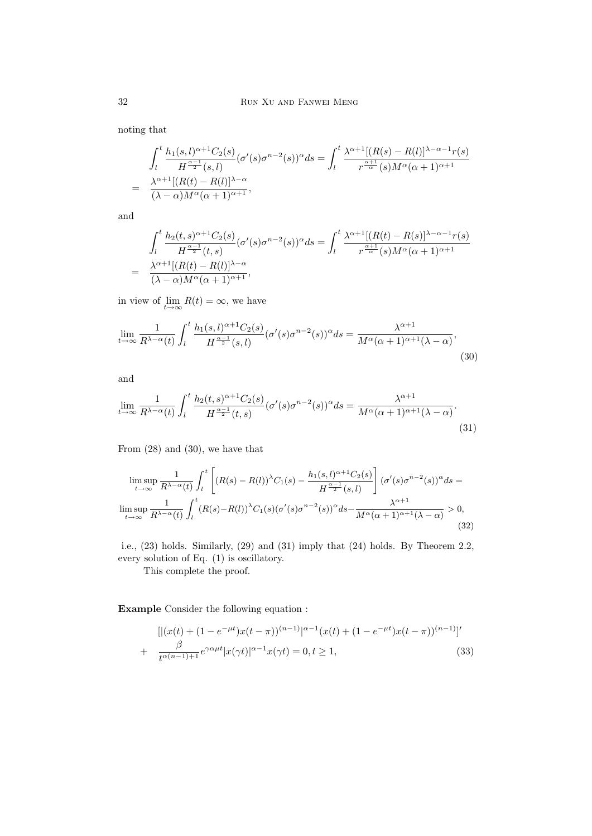noting that

$$
\int_{l}^{t} \frac{h_1(s,l)^{\alpha+1}C_2(s)}{H^{\frac{\alpha-1}{2}}(s,l)} (\sigma'(s)\sigma^{n-2}(s))^{\alpha} ds = \int_{l}^{t} \frac{\lambda^{\alpha+1}[(R(s)-R(l)]^{\lambda-\alpha-1}r(s)]}{r^{\frac{\alpha+1}{\alpha}}(s)M^{\alpha}(\alpha+1)^{\alpha+1}}
$$

$$
= \frac{\lambda^{\alpha+1}[(R(t)-R(l)]^{\lambda-\alpha}}{(\lambda-\alpha)M^{\alpha}(\alpha+1)^{\alpha+1}},
$$

and

$$
\int_{l}^{t} \frac{h_2(t,s)^{\alpha+1}C_2(s)}{H^{\frac{\alpha-1}{2}}(t,s)} (\sigma'(s)\sigma^{n-2}(s))^{\alpha} ds = \int_{l}^{t} \frac{\lambda^{\alpha+1}[(R(t)-R(s)]^{\lambda-\alpha-1}r(s)]}{r^{\frac{\alpha+1}{\alpha}}(s)M^{\alpha}(\alpha+1)^{\alpha+1}}
$$

$$
= \frac{\lambda^{\alpha+1}[(R(t)-R(t)]^{\lambda-\alpha}}{(\lambda-\alpha)M^{\alpha}(\alpha+1)^{\alpha+1}},
$$

in view of  $\lim_{t\to\infty} R(t) = \infty$ , we have

$$
\lim_{t \to \infty} \frac{1}{R^{\lambda - \alpha}(t)} \int_{l}^{t} \frac{h_1(s, l)^{\alpha + 1} C_2(s)}{H^{\frac{\alpha - 1}{2}}(s, l)} (\sigma'(s) \sigma^{n - 2}(s))^{\alpha} ds = \frac{\lambda^{\alpha + 1}}{M^{\alpha}(\alpha + 1)^{\alpha + 1}(\lambda - \alpha)},
$$
\n(30)

and

$$
\lim_{t \to \infty} \frac{1}{R^{\lambda - \alpha}(t)} \int_{l}^{t} \frac{h_2(t, s)^{\alpha + 1} C_2(s)}{H^{\frac{\alpha - 1}{2}}(t, s)} (\sigma'(s) \sigma^{n - 2}(s))^{\alpha} ds = \frac{\lambda^{\alpha + 1}}{M^{\alpha}(\alpha + 1)^{\alpha + 1}(\lambda - \alpha)}.
$$
\n(31)

From (28) and (30), we have that

$$
\limsup_{t \to \infty} \frac{1}{R^{\lambda - \alpha}(t)} \int_{l}^{t} \left[ (R(s) - R(l))^{\lambda} C_1(s) - \frac{h_1(s, l)^{\alpha + 1} C_2(s)}{H^{\frac{\alpha - 1}{2}}(s, l)} \right] (\sigma'(s) \sigma^{n - 2}(s))^{\alpha} ds =
$$
  

$$
\limsup_{t \to \infty} \frac{1}{R^{\lambda - \alpha}(t)} \int_{l}^{t} (R(s) - R(l))^{\lambda} C_1(s) (\sigma'(s) \sigma^{n - 2}(s))^{\alpha} ds - \frac{\lambda^{\alpha + 1}}{M^{\alpha}(\alpha + 1)^{\alpha + 1}(\lambda - \alpha)} > 0,
$$
\n(32)

i.e., (23) holds. Similarly, (29) and (31) imply that (24) holds. By Theorem 2.2, every solution of Eq. (1) is oscillatory.

This complete the proof.

Example Consider the following equation :

$$
[|(x(t) + (1 - e^{-\mu t})x(t - \pi))^{(n-1)}|^{\alpha - 1}(x(t) + (1 - e^{-\mu t})x(t - \pi))^{(n-1)}]'
$$
  
+ 
$$
\frac{\beta}{t^{\alpha(n-1)+1}}e^{\gamma\alpha\mu t}|x(\gamma t)|^{\alpha - 1}x(\gamma t) = 0, t \ge 1,
$$
 (33)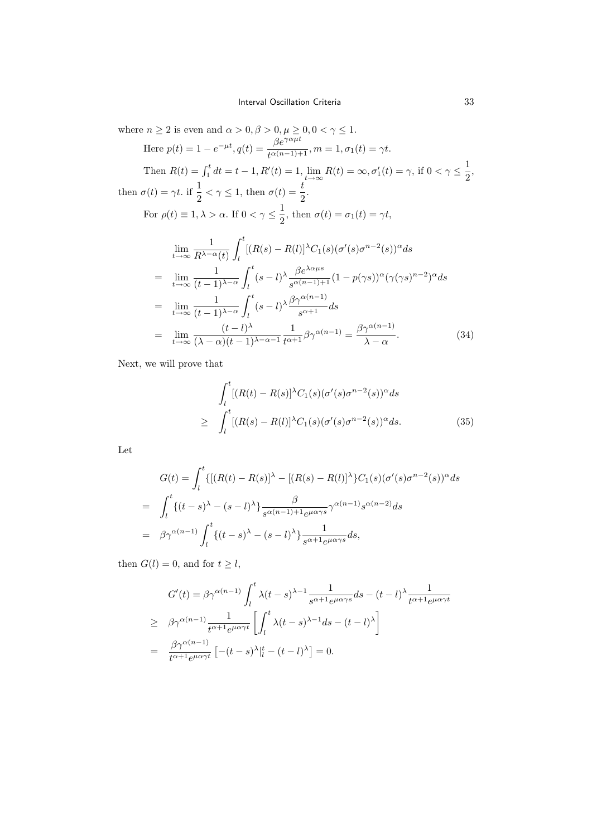where  $n \geq 2$  is even and  $\alpha > 0, \beta > 0, \mu \geq 0, 0 < \gamma \leq 1$ . Here  $p(t) = 1 - e^{-\mu t}$ ,  $q(t) = \frac{\beta e^{\gamma \alpha \mu t}}{t^{\alpha (n-1)+1}}$ ,  $m = 1$ ,  $\sigma_1(t) = \gamma t$ . Then  $R(t) = \int_1^t dt = t - 1, R'(t) = 1, \lim_{t \to \infty} R(t) = \infty, \sigma'_1(t) = \gamma$ , if  $0 < \gamma \le \frac{1}{2}$  $\frac{1}{2}$ then  $\sigma(t) = \gamma t$ . if  $\frac{1}{2} < \gamma \leq 1$ , then  $\sigma(t) = \frac{t}{2}$ . For  $\rho(t) \equiv 1, \lambda > \alpha$ . If  $0 < \gamma \leq \frac{1}{2}$  $\frac{1}{2}$ , then  $\sigma(t) = \sigma_1(t) = \gamma t$ ,  $\lim_{t\to\infty}\frac{1}{R^{\lambda-\epsilon}}$  $R^{\lambda-\alpha}(t)$  $\int_0^t$  $\int_{l} [(R(s) - R(l)]^{\lambda} C_1(s) (\sigma'(s) \sigma^{n-2}(s))^{\alpha} ds]$  $=\lim_{t\to\infty}\frac{1}{(t-1)}$  $(t-1)^{\lambda-\alpha}$  $\int_0^t$ l  $(s-l)^{\lambda} \frac{\beta e^{\lambda \alpha \mu s}}{e^{(n-1)\lambda}}$  $\frac{\beta e^{-\lambda}}{s^{\alpha(n-1)+1}}(1-p(\gamma s))^{\alpha}(\gamma(\gamma s)^{n-2})^{\alpha}ds$  $=\lim_{t\to\infty}\frac{1}{(t-1)}$  $(t-1)^{\lambda-\alpha}$  $\int_0^t$ l  $(s-l)^{\lambda} \frac{\beta \gamma^{\alpha(n-1)}}{\gamma+1}$  $\frac{1}{s^{\alpha+1}}$  ds  $=$   $\lim_{t\to\infty} \frac{(t-l)^{\lambda}}{(\lambda-\alpha)(t-1)}$ 1  $\frac{1}{t^{\alpha+1}}\beta\gamma^{\alpha(n-1)} = \frac{\beta\gamma^{\alpha(n-1)}}{\lambda - \alpha}$ . (34)

Next, we will prove that

 $(\lambda - \alpha)(t-1)^{\lambda - \alpha - 1}$ 

$$
\int_{l}^{t} [(R(t) - R(s)]^{\lambda} C_1(s) (\sigma'(s) \sigma^{n-2}(s))^{\alpha} ds
$$
\n
$$
\geq \int_{l}^{t} [(R(s) - R(l)]^{\lambda} C_1(s) (\sigma'(s) \sigma^{n-2}(s))^{\alpha} ds. \tag{35}
$$

 $\lambda - \alpha$ 

Let

$$
G(t) = \int_{l}^{t} \{ [(R(t) - R(s)]^{\lambda} - [(R(s) - R(l)]^{\lambda} \} C_{1}(s) (\sigma'(s) \sigma^{n-2}(s))^{\alpha} ds
$$
  
\n
$$
= \int_{l}^{t} \{ (t - s)^{\lambda} - (s - l)^{\lambda} \} \frac{\beta}{s^{\alpha(n-1) + 1} e^{\mu \alpha \gamma s}} \gamma^{\alpha(n-1)} s^{\alpha(n-2)} ds
$$
  
\n
$$
= \beta \gamma^{\alpha(n-1)} \int_{l}^{t} \{ (t - s)^{\lambda} - (s - l)^{\lambda} \} \frac{1}{s^{\alpha + 1} e^{\mu \alpha \gamma s}} ds,
$$

then  $G(l) = 0$ , and for  $t \geq l$ ,

$$
G'(t) = \beta \gamma^{\alpha(n-1)} \int_{l}^{t} \lambda(t-s)^{\lambda-1} \frac{1}{s^{\alpha+1}e^{\mu\alpha\gamma s}} ds - (t-l)^{\lambda} \frac{1}{t^{\alpha+1}e^{\mu\alpha\gamma t}}
$$
  
\n
$$
\geq \beta \gamma^{\alpha(n-1)} \frac{1}{t^{\alpha+1}e^{\mu\alpha\gamma t}} \left[ \int_{l}^{t} \lambda(t-s)^{\lambda-1} ds - (t-l)^{\lambda} \right]
$$
  
\n
$$
= \frac{\beta \gamma^{\alpha(n-1)}}{t^{\alpha+1}e^{\mu\alpha\gamma t}} \left[ -(t-s)^{\lambda} \Big|_{l}^{t} - (t-l)^{\lambda} \right] = 0.
$$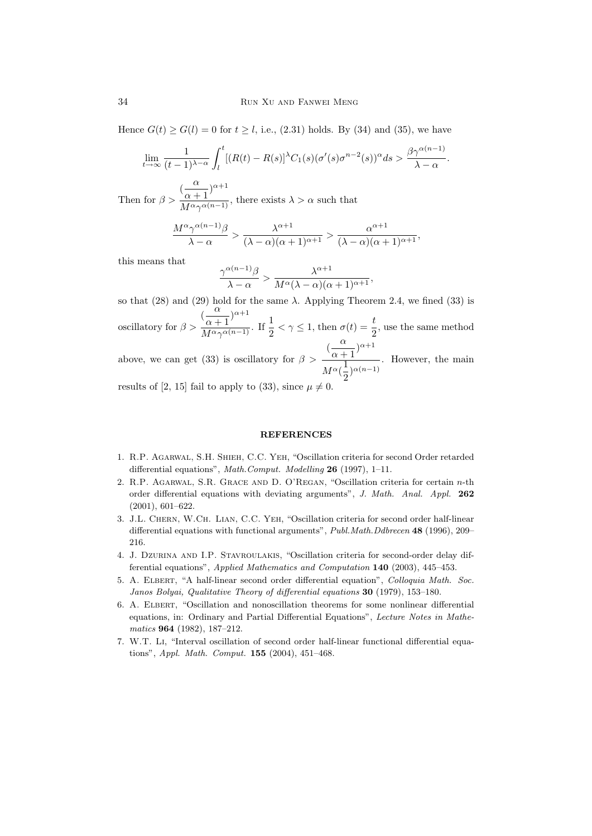Hence  $G(t) \ge G(l) = 0$  for  $t \ge l$ , i.e., (2.31) holds. By (34) and (35), we have

$$
\lim_{t \to \infty} \frac{1}{(t-1)^{\lambda-\alpha}} \int_{l}^{t} [(R(t) - R(s)]^{\lambda} C_1(s) (\sigma'(s) \sigma^{n-2}(s))^{\alpha} ds > \frac{\beta \gamma^{\alpha(n-1)}}{\lambda - \alpha}.
$$

Then for  $\beta >$  $\frac{\alpha}{\alpha+1}$ <sup> $\alpha+1$ </sup>  $\frac{\alpha+1}{M^{\alpha}\gamma^{\alpha(n-1)}}$ , there exists  $\lambda > \alpha$  such that

$$
\frac{M^{\alpha}\gamma^{\alpha(n-1)}\beta}{\lambda-\alpha} > \frac{\lambda^{\alpha+1}}{(\lambda-\alpha)(\alpha+1)^{\alpha+1}} > \frac{\alpha^{\alpha+1}}{(\lambda-\alpha)(\alpha+1)^{\alpha+1}},
$$

this means that

$$
\frac{\gamma^{\alpha(n-1)}\beta}{\lambda-\alpha} > \frac{\lambda^{\alpha+1}}{M^{\alpha}(\lambda-\alpha)(\alpha+1)^{\alpha+1}},
$$

so that (28) and (29) hold for the same  $\lambda$ . Applying Theorem 2.4, we fined (33) is oscillatory for  $\beta >$  $\frac{\alpha}{\alpha}$  $\frac{\alpha}{\alpha+1}$ <sup> $\alpha+1$ </sup>  $\frac{(\alpha+1)^{\beta}}{M^{\alpha}\gamma^{\alpha(n-1)}}$ . If  $\frac{1}{2} < \gamma \leq 1$ , then  $\sigma(t) = \frac{t}{2}$ , use the same method above, we can get (33) is oscillatory for  $\beta >$  $\left(\frac{\alpha}{\alpha}\right)$  $\frac{\alpha}{\alpha+1}$ <sup> $\alpha+1$ </sup>  $\sqrt{M^{\alpha}(\frac{1}{2})}$  $\frac{1}{2}$ <sup> $\alpha(n-1)$ </sup> . However, the main

results of [2, 15] fail to apply to (33), since  $\mu \neq 0$ .

#### **REFERENCES**

- 1. R.P. Agarwal, S.H. Shieh, C.C. Yeh, "Oscillation criteria for second Order retarded differential equations", Math.Comput. Modelling 26 (1997), 1-11.
- 2. R.P. AGARWAL, S.R. GRACE AND D. O'REGAN, "Oscillation criteria for certain  $n$ -th order differential equations with deviating arguments", J. Math. Anal. Appl. 262 (2001), 601–622.
- 3. J.L. Chern, W.Ch. Lian, C.C. Yeh, "Oscillation criteria for second order half-linear differential equations with functional arguments", Publ.Math.Ddbrecen 48 (1996), 209– 216.
- 4. J. Dzurina and I.P. Stavroulakis, "Oscillation criteria for second-order delay differential equations", Applied Mathematics and Computation 140 (2003), 445–453.
- 5. A. Elbert, "A half-linear second order differential equation", Colloquia Math. Soc. Janos Bolyai, Qualitative Theory of differential equations 30 (1979), 153–180.
- 6. A. Elbert, "Oscillation and nonoscillation theorems for some nonlinear differential equations, in: Ordinary and Partial Differential Equations", Lecture Notes in Mathematics 964 (1982), 187–212.
- 7. W.T. Li, "Interval oscillation of second order half-linear functional differential equations", Appl. Math. Comput. 155 (2004), 451–468.